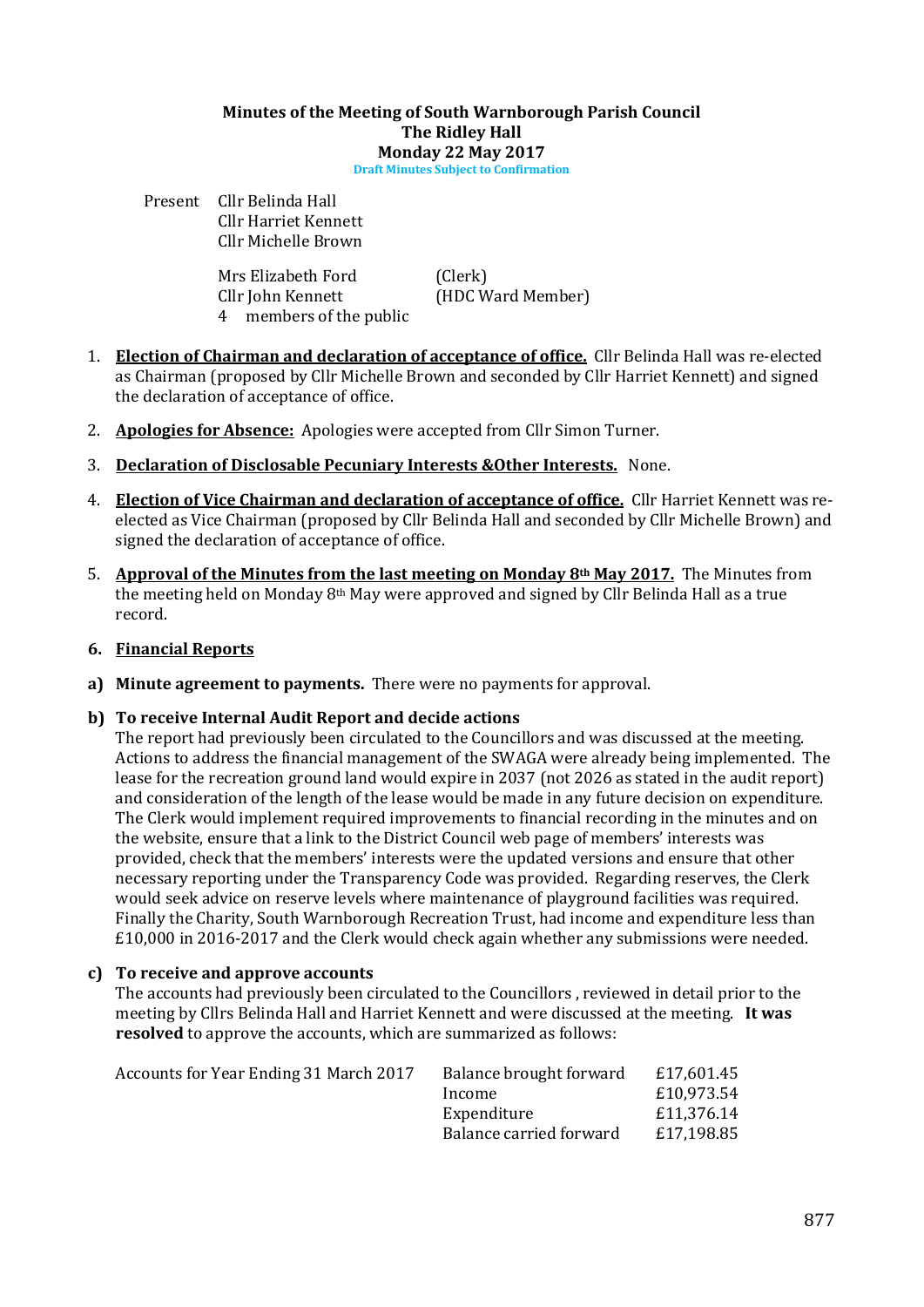# Minutes of the Meeting of South Warnborough Parish Council The Ridley Hall Monday 22 May 2017

Draft Minutes Subject to Confirmation

Present Cllr Belinda Hall Cllr Harriet Kennett Cllr Michelle Brown

> Mrs Elizabeth Ford (Clerk) Cllr John Kennett (HDC Ward Member) 4 members of the public

- 1. Election of Chairman and declaration of acceptance of office. Cllr Belinda Hall was re-elected as Chairman (proposed by Cllr Michelle Brown and seconded by Cllr Harriet Kennett) and signed the declaration of acceptance of office.
- 2. **Apologies for Absence:** Apologies were accepted from Cllr Simon Turner.
- 3. Declaration of Disclosable Pecuniary Interests &Other Interests. None.
- 4. Election of Vice Chairman and declaration of acceptance of office. Cllr Harriet Kennett was reelected as Vice Chairman (proposed by Cllr Belinda Hall and seconded by Cllr Michelle Brown) and signed the declaration of acceptance of office.
- 5. Approval of the Minutes from the last meeting on Monday  $8<sup>th</sup>$  May 2017. The Minutes from the meeting held on Monday 8<sup>th</sup> May were approved and signed by Cllr Belinda Hall as a true record.

### 6. Financial Reports

- a) Minute agreement to payments. There were no payments for approval.
- b) To receive Internal Audit Report and decide actions

The report had previously been circulated to the Councillors and was discussed at the meeting. Actions to address the financial management of the SWAGA were already being implemented. The lease for the recreation ground land would expire in 2037 (not 2026 as stated in the audit report) and consideration of the length of the lease would be made in any future decision on expenditure. The Clerk would implement required improvements to financial recording in the minutes and on the website, ensure that a link to the District Council web page of members' interests was provided, check that the members' interests were the updated versions and ensure that other necessary reporting under the Transparency Code was provided. Regarding reserves, the Clerk would seek advice on reserve levels where maintenance of playground facilities was required. Finally the Charity, South Warnborough Recreation Trust, had income and expenditure less than £10,000 in 2016-2017 and the Clerk would check again whether any submissions were needed.

#### c) To receive and approve accounts

The accounts had previously been circulated to the Councillors , reviewed in detail prior to the meeting by Cllrs Belinda Hall and Harriet Kennett and were discussed at the meeting. It was resolved to approve the accounts, which are summarized as follows:

| Accounts for Year Ending 31 March 2017 | Balance brought forward | £17,601.45 |
|----------------------------------------|-------------------------|------------|
|                                        | Income                  | £10,973.54 |
|                                        | Expenditure             | £11,376.14 |
|                                        | Balance carried forward | £17,198.85 |